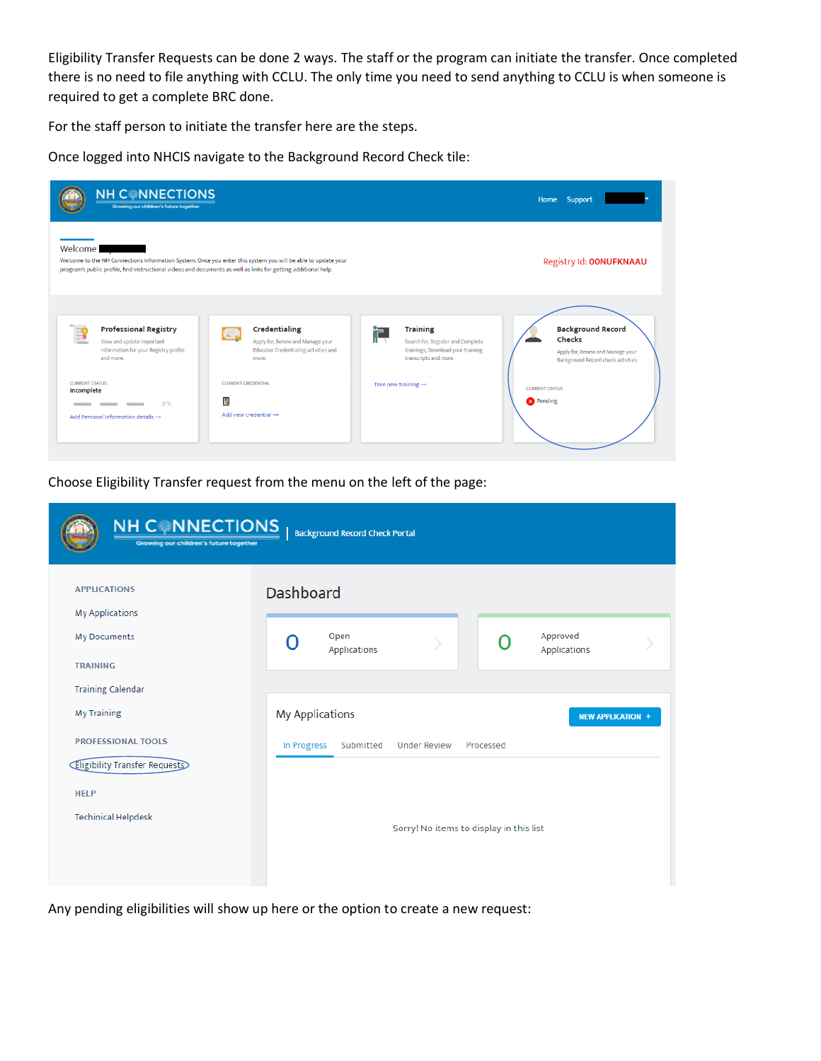Eligibility Transfer Requests can be done 2 ways. The staff or the program can initiate the transfer. Once completed there is no need to file anything with CCLU. The only time you need to send anything to CCLU is when someone is required to get a complete BRC done.

For the staff person to initiate the transfer here are the steps.

Once logged into NHCIS navigate to the Background Record Check tile:

| <b>NH CONNECTIONS</b><br>Growing our children's future together                                                                                                                                                                             |                                                                                                                                                                                       |                                                                                                                                                            | Home Support                                                                                                                                                     |
|---------------------------------------------------------------------------------------------------------------------------------------------------------------------------------------------------------------------------------------------|---------------------------------------------------------------------------------------------------------------------------------------------------------------------------------------|------------------------------------------------------------------------------------------------------------------------------------------------------------|------------------------------------------------------------------------------------------------------------------------------------------------------------------|
| Welcome.<br>Welcome to the NH Connections Information System. Once you enter this system you will be able to update your<br>program's public profile, find instructional videos and documents as well as links for getting additional help. |                                                                                                                                                                                       |                                                                                                                                                            | Registry Id: OONUFKNAAU                                                                                                                                          |
| <b>Professional Registry</b><br>哥<br>View and update important<br>information for your Registry profile<br>and more.<br><b>CURRENT STATUS</b><br>Incomplete<br>0%<br>Add Personal Information details $\rightarrow$                         | Credentialing<br>G<br>Apply for, Renew and Manage your<br><b>Educator Credentialing actvities and</b><br>more.<br><b>CURRENT CREDENTIAL</b><br>L.<br>Add new credential $\rightarrow$ | <b>Training</b><br>户<br>Search for, Register and Complete<br>trainings, Download your training<br>transcripts and more.<br>Take new training $\rightarrow$ | <b>Background Record</b><br><b>Checks</b><br>Apply for, Renew and Manage your<br>Background Record check actvities.<br><b>CURRENT STATUS</b><br><b>R</b> Pending |

Choose Eligibility Transfer request from the menu on the left of the page:

| <b>NH CONNECTIONS</b><br>Growing our children's future together | <b>Background Record Check Portal</b>                                                                              |  |  |  |  |  |  |  |  |  |
|-----------------------------------------------------------------|--------------------------------------------------------------------------------------------------------------------|--|--|--|--|--|--|--|--|--|
| <b>APPLICATIONS</b><br><b>My Applications</b>                   | <b>Dashboard</b>                                                                                                   |  |  |  |  |  |  |  |  |  |
| My Documents<br><b>TRAINING</b>                                 | Approved<br>Open<br>Applications<br>Applications                                                                   |  |  |  |  |  |  |  |  |  |
| <b>Training Calendar</b>                                        |                                                                                                                    |  |  |  |  |  |  |  |  |  |
| <b>My Training</b><br><b>PROFESSIONAL TOOLS</b>                 | <b>My Applications</b><br><b>NEW APPLICATION +</b><br>In Progress<br>Submitted<br><b>Under Review</b><br>Processed |  |  |  |  |  |  |  |  |  |
| <b>Eligibility Transfer Requests</b>                            | Sorry! No items to display in this list                                                                            |  |  |  |  |  |  |  |  |  |
| <b>HELP</b><br><b>Techinical Helpdesk</b>                       |                                                                                                                    |  |  |  |  |  |  |  |  |  |
|                                                                 |                                                                                                                    |  |  |  |  |  |  |  |  |  |

Any pending eligibilities will show up here or the option to create a new request: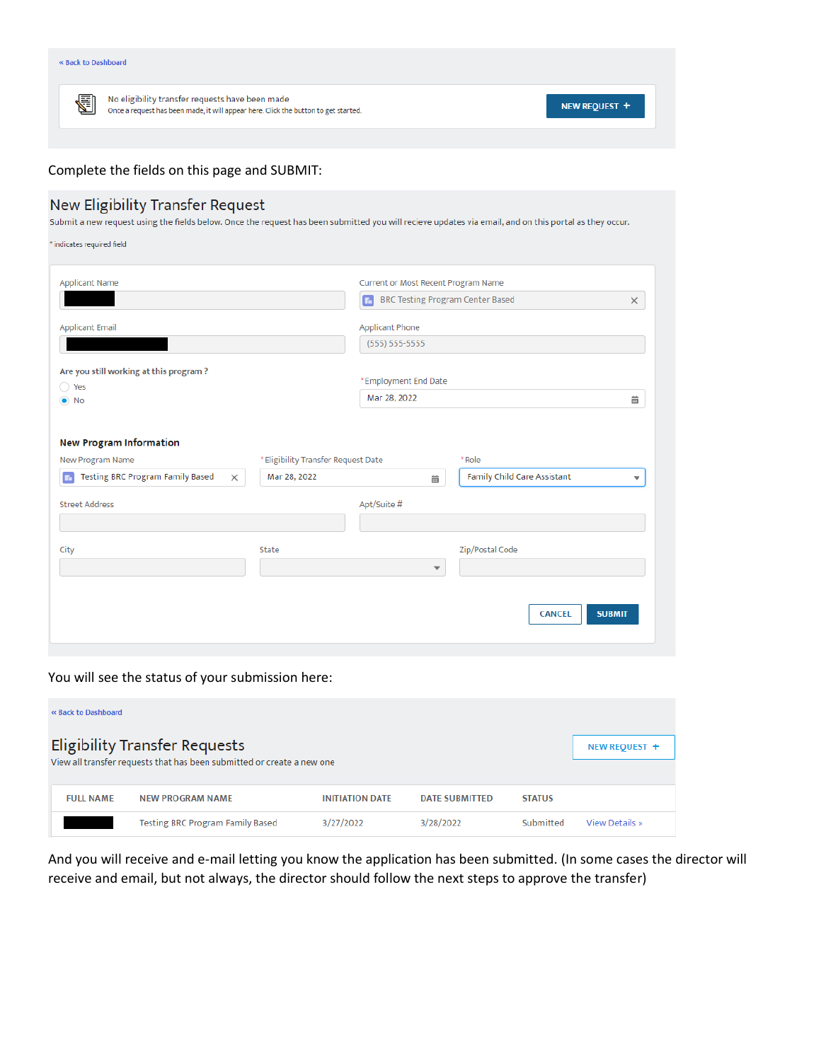| <b>« Back to Dashboard</b> |                                                                                                                                        |               |
|----------------------------|----------------------------------------------------------------------------------------------------------------------------------------|---------------|
| G                          | No eligibility transfer requests have been made<br>Once a request has been made, it will appear here. Click the button to get started. | NEW REQUEST + |

## Complete the fields on this page and SUBMIT:

## New Eligibility Transfer Request

Submit a new request using the fields below. Once the request has been submitted you will recieve updates via email, and on this portal as they occur.

 $^*$  indicates required field

| <b>Applicant Name</b>                                                 |                                     | Current or Most Recent Program Name           |                                                                |
|-----------------------------------------------------------------------|-------------------------------------|-----------------------------------------------|----------------------------------------------------------------|
|                                                                       |                                     | E.<br><b>BRC Testing Program Center Based</b> | $\times$                                                       |
| <b>Applicant Email</b>                                                |                                     | <b>Applicant Phone</b>                        |                                                                |
|                                                                       |                                     | $(555) 555-5555$                              |                                                                |
| Are you still working at this program?<br>◯ Yes                       |                                     | *Employment End Date                          |                                                                |
| $\bullet$ No                                                          |                                     | Mar 28, 2022                                  | 齒                                                              |
|                                                                       |                                     |                                               |                                                                |
| <b>New Program Information</b>                                        |                                     |                                               |                                                                |
| <b>New Program Name</b>                                               | * Eligibility Transfer Request Date |                                               | * Role                                                         |
| <b>Testing BRC Program Family Based</b><br>E <sub>n</sub><br>$\times$ | Mar 28, 2022                        | 繭                                             | <b>Family Child Care Assistant</b><br>$\overline{\phantom{a}}$ |
| <b>Street Address</b>                                                 |                                     | Apt/Suite #                                   |                                                                |
|                                                                       |                                     |                                               |                                                                |
| City                                                                  | State                               |                                               | Zip/Postal Code                                                |
|                                                                       |                                     | $\checkmark$                                  |                                                                |
|                                                                       |                                     |                                               | <b>SUBMIT</b><br><b>CANCEL</b>                                 |

## You will see the status of your submission here:

| <b>« Back to Dashboard</b> |                                                                                                                |                        |                       |               |                |
|----------------------------|----------------------------------------------------------------------------------------------------------------|------------------------|-----------------------|---------------|----------------|
|                            | <b>Eligibility Transfer Requests</b><br>View all transfer requests that has been submitted or create a new one |                        |                       |               | NEW REQUEST +  |
| <b>FULL NAME</b>           | <b>NEW PROGRAM NAME</b>                                                                                        | <b>INITIATION DATE</b> | <b>DATE SUBMITTED</b> | <b>STATUS</b> |                |
|                            | <b>Testing BRC Program Family Based</b>                                                                        | 3/27/2022              | 3/28/2022             | Submitted     | View Details » |

And you will receive and e-mail letting you know the application has been submitted. (In some cases the director will receive and email, but not always, the director should follow the next steps to approve the transfer)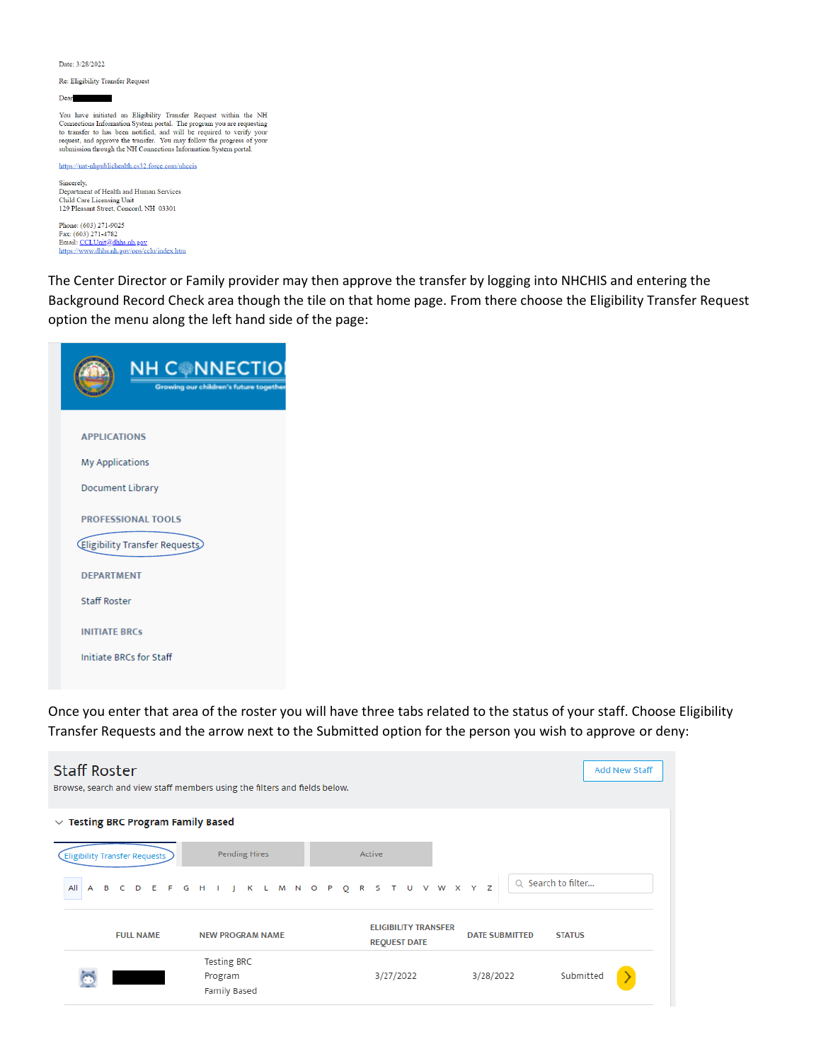Date: 3/28/2022

Re: Eligibility Transfer Request

Dear ٠

You have initiated an Eligibility Transfer Request within the NH Four anter minister on a Enginemy Fransier Keepesto winnin the NTT Connections Information System portal. The program you are requesting to teamsfer to has been notified, and will be required to verify your request, and ap

https://uat-nhpublichealth.cs32.force.com/nhccis

Sincerely,<br>Department of Health and Human Services Child Care Licensing Unit<br>129 Pleasant Street, Concord, NH 03301

Phone: (603) 271-9025 Finde: (003) 271-4782<br>Fax: (603) 271-4782<br>Email: <u>CCLUnit@dhhs.nh.gov</u><br>https://www.dhhs.nh.gov/oos/celu/index.htm

The Center Director or Family provider may then approve the transfer by logging into NHCHIS and entering the Background Record Check area though the tile on that home page. From there choose the Eligibility Transfer Request option the menu along the left hand side of the page:

| <b>NH CONNECTIO</b><br>Growing our children's future together |
|---------------------------------------------------------------|
| <b>APPLICATIONS</b>                                           |
| <b>My Applications</b>                                        |
| Document Library                                              |
| <b>PROFESSIONAL TOOLS</b>                                     |
| (Eligibility Transfer Requests)                               |
| <b>DEPARTMENT</b>                                             |
| <b>Staff Roster</b>                                           |
| <b>INITIATE BRCS</b>                                          |
| <b>Initiate BRCs for Staff</b>                                |
|                                                               |

Once you enter that area of the roster you will have three tabs related to the status of your staff. Choose Eligibility Transfer Requests and the arrow next to the Submitted option for the person you wish to approve or deny:

| <b>Staff Roster</b><br>Browse, search and view staff members using the filters and fields below. |                                                     |                  |  |  |                                        |  |  |  |  |        |                                                    |  |  |           |                       |                    |               | Add New Staff |  |
|--------------------------------------------------------------------------------------------------|-----------------------------------------------------|------------------|--|--|----------------------------------------|--|--|--|--|--------|----------------------------------------------------|--|--|-----------|-----------------------|--------------------|---------------|---------------|--|
| $\vee$ Testing BRC Program Family Based                                                          |                                                     |                  |  |  |                                        |  |  |  |  |        |                                                    |  |  |           |                       |                    |               |               |  |
| <b>Eligibility Transfer Requests</b>                                                             |                                                     |                  |  |  | Pending Hires                          |  |  |  |  | Active |                                                    |  |  |           |                       |                    |               |               |  |
| All                                                                                              | A B C D E F G H I J K L M N O P Q R S T U V W X Y Z |                  |  |  |                                        |  |  |  |  |        |                                                    |  |  |           |                       | Q Search to filter |               |               |  |
|                                                                                                  |                                                     | <b>FULL NAME</b> |  |  | <b>NEW PROGRAM NAME</b>                |  |  |  |  |        | <b>ELIGIBILITY TRANSFER</b><br><b>REQUEST DATE</b> |  |  |           | <b>DATE SUBMITTED</b> |                    | <b>STATUS</b> |               |  |
|                                                                                                  |                                                     |                  |  |  | Testing BRC<br>Program<br>Family Based |  |  |  |  |        | 3/27/2022                                          |  |  | 3/28/2022 |                       |                    | Submitted     |               |  |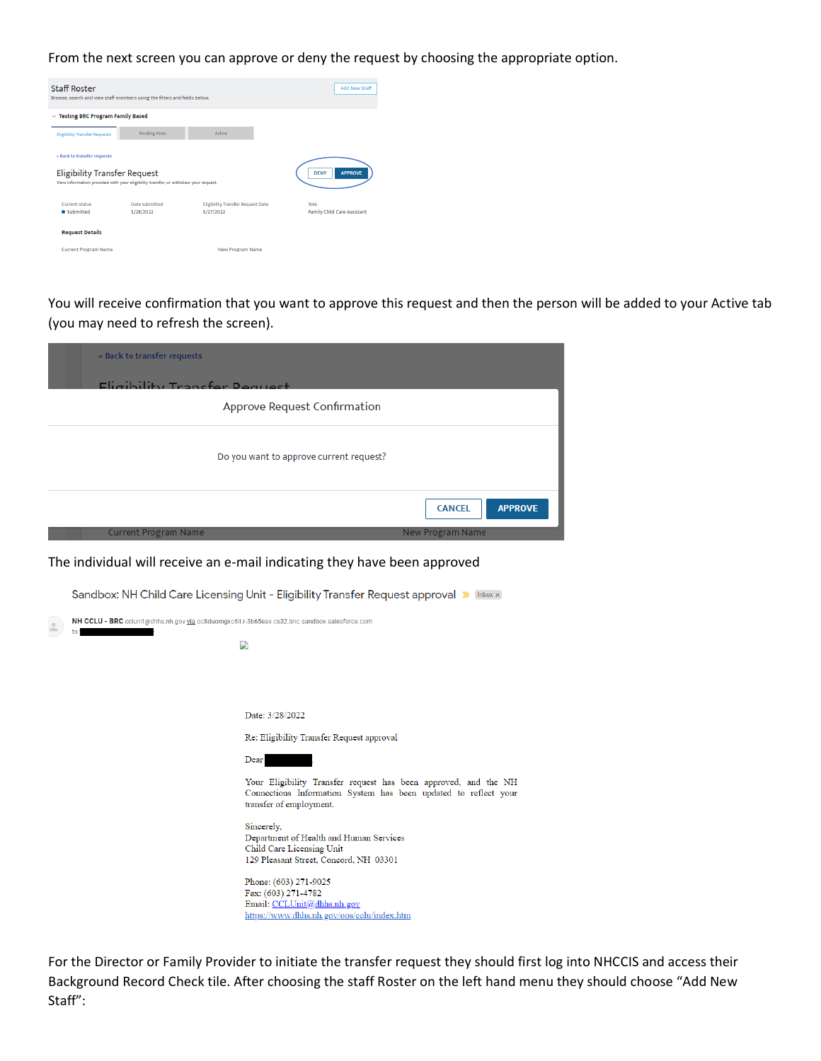From the next screen you can approve or deny the request by choosing the appropriate option.

| <b>Staff Roster</b>                     | Browse, search and view staff members using the filters and fields below.           |                                                       | <b>Add New Staff</b>                       |
|-----------------------------------------|-------------------------------------------------------------------------------------|-------------------------------------------------------|--------------------------------------------|
| $\vee$ Testing BRC Program Family Based |                                                                                     |                                                       |                                            |
| <b>Eligibility Transfer Requests</b>    | <b>Pending Hires</b>                                                                | Active                                                |                                            |
| « Back to transfer requests             |                                                                                     |                                                       |                                            |
| <b>Eligibility Transfer Request</b>     | View information provided with your eligibility transfer, or withdraw your request. |                                                       | <b>DENY</b><br><b>APPROVE</b>              |
|                                         |                                                                                     |                                                       |                                            |
| <b>Current status</b><br>• Submitted    | Date submitted<br>3/28/2022                                                         | <b>Eligibility Transfer Request Date</b><br>3/27/2022 | Role<br><b>Family Child Care Assistant</b> |
| <b>Request Details</b>                  |                                                                                     |                                                       |                                            |
| <b>Current Program Name</b>             |                                                                                     | <b>New Program Name</b>                               |                                            |

You will receive confirmation that you want to approve this request and then the person will be added to your Active tab (you may need to refresh the screen).

| « Back to transfer requests                                                                   |                                                                                                                                                               |
|-----------------------------------------------------------------------------------------------|---------------------------------------------------------------------------------------------------------------------------------------------------------------|
| Eligibility Transfer Deque                                                                    | <b>Approve Request Confirmation</b>                                                                                                                           |
|                                                                                               | Do you want to approve current request?                                                                                                                       |
|                                                                                               | <b>APPROVE</b><br><b>CANCEL</b>                                                                                                                               |
| Current Program Name                                                                          | New Program Name                                                                                                                                              |
|                                                                                               | The individual will receive an e-mail indicating they have been approved                                                                                      |
|                                                                                               | Sandbox: NH Child Care Licensing Unit - Eligibility Transfer Request approval D Inbox x                                                                       |
| NH CCLU - BRC cclunit@dhhs.nh.gov via oc8duomgxc6ll.r-3b65eae.cs32.bnc.sandbox.salesforce.com |                                                                                                                                                               |
|                                                                                               | D                                                                                                                                                             |
|                                                                                               |                                                                                                                                                               |
|                                                                                               | Date: 3/28/2022                                                                                                                                               |
|                                                                                               | Re: Eligibility Transfer Request approval                                                                                                                     |
|                                                                                               | Dear.                                                                                                                                                         |
|                                                                                               | Your Eligibility Transfer request has been approved, and the NH<br>Connections Information System has been updated to reflect your<br>transfer of employment. |
|                                                                                               | Sincerely,<br>Department of Health and Human Services<br>Child Care Licensing Unit<br>129 Pleasant Street, Concord, NH 03301                                  |
|                                                                                               | Phone: (603) 271-9025<br>Fax: (603) 271-4782<br>Email: CCLUnit@dhhs.nh.gov<br>https://www.dhhs.nh.gov/oos/cclu/index.htm                                      |
|                                                                                               |                                                                                                                                                               |

For the Director or Family Provider to initiate the transfer request they should first log into NHCCIS and access their Background Record Check tile. After choosing the staff Roster on the left hand menu they should choose "Add New Staff":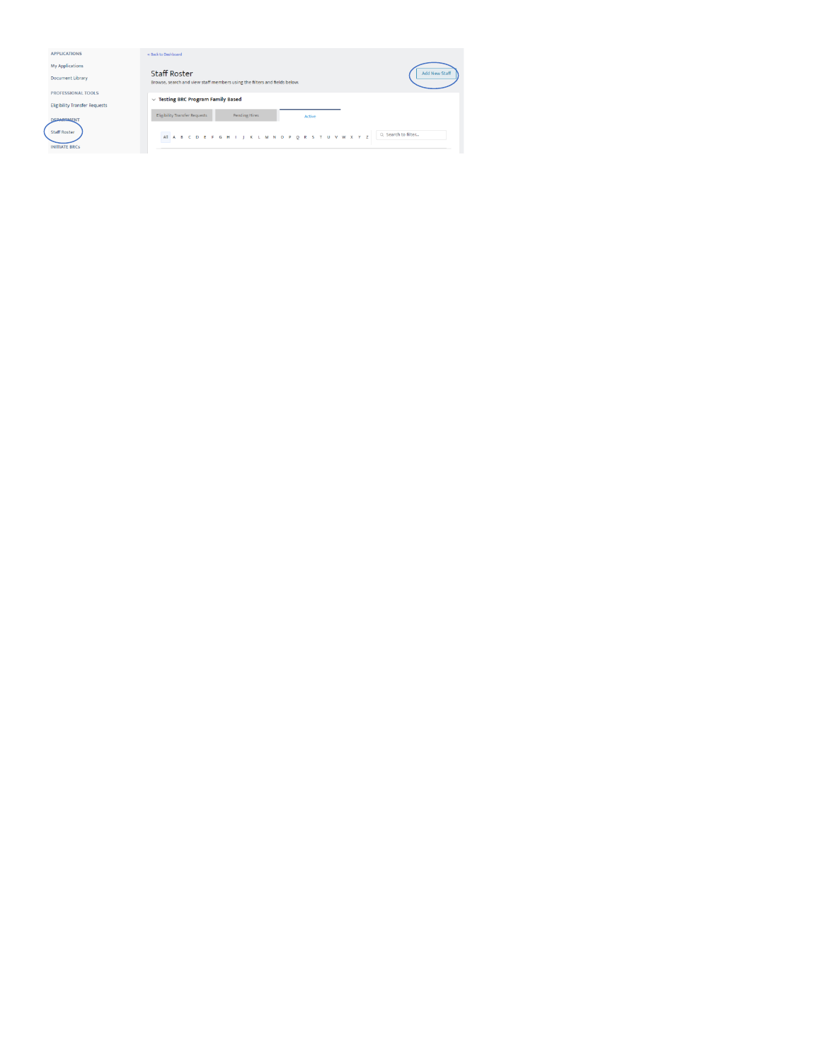| <b>APPLICATIONS</b>                         | « Back to Dashboard                                                                              |               |
|---------------------------------------------|--------------------------------------------------------------------------------------------------|---------------|
| My Applications                             |                                                                                                  |               |
| <b>Document Library</b>                     | <b>Staff Roster</b><br>Browse, search and view staff members using the filters and fields below. | Add New Staff |
| <b>PROFESSIONAL TOOLS</b>                   | $\vee$ Testing BRC Program Family Based                                                          |               |
| <b>Eligibility Transfer Requests</b>        |                                                                                                  |               |
| <b>CRABIMENT</b>                            | <b>Eligibility Transfer Requests</b><br><b>Pending Hires</b><br>Active                           |               |
| <b>Staff Roster</b><br><b>INITIATE BRCs</b> | Q Search to filter<br>AI A B C D E F G H I J K L M N O P Q R S T U V W X Y Z                     |               |